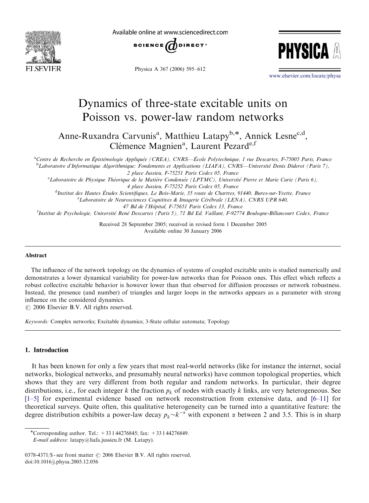

Available online at www.sciencedirect.com



Physica A 367 (2006) 595–612



<www.elsevier.com/locate/physa>

# Dynamics of three-state excitable units on Poisson vs. power-law random networks

Anne-Ruxandra Carvunis<sup>a</sup>, Matthieu Latapy<sup>b,\*</sup>, Annick Lesne<sup>c,d</sup>, Clémence Magnien<sup>a</sup>, Laurent Pezard<sup>e,f</sup>

<sup>a</sup>Centre de Recherche en Épistémologie Appliquée (CREA), CNRS—École Polytechnique, 1 rue Descartes, F-75005 Paris, France <sup>b</sup>Laboratoire d'Informatique Algorithmique: Fondements et Applications (LIAFA), CNRS—Université Denis Diderot (Paris 7), 2 place Jussieu, F-75251 Paris Cedex 05, France

<sup>c</sup>Laboratoire de Physique Théorique de la Matière Condensée (LPTMC), Université Pierre et Marie Curie (Paris 6), 4 place Jussieu, F-75252 Paris Cedex 05, France

<sup>d</sup>Institut des Hautes Études Scientifiques, Le Bois-Marie, 35 route de Chartres, 91440, Bures-sur-Yvette, France <sup>e</sup> Laboratoire de Neurosciences Cognitives & Imagerie Cérébrale (LENA), CNRS UPR 640,

47 Bd de l'Hôpital, F-75651 Paris Cedex 13, France

<sup>f</sup>Institut de Psychologie, Université René Descartes (Paris 5), 71 Bd Ed. Vaillant, F-92774 Boulogne-Billancourt Cedex, France

Received 28 September 2005; received in revised form 1 December 2005 Available online 30 January 2006

# Abstract

The influence of the network topology on the dynamics of systems of coupled excitable units is studied numerically and demonstrates a lower dynamical variability for power-law networks than for Poisson ones. This effect which reflects a robust collective excitable behavior is however lower than that observed for diffusion processes or network robustness. Instead, the presence (and number) of triangles and larger loops in the networks appears as a parameter with strong influence on the considered dynamics.

 $\odot$  2006 Elsevier B.V. All rights reserved.

Keywords: Complex networks; Excitable dynamics; 3-State cellular automata; Topology

# 1. Introduction

It has been known for only a few years that most real-world networks (like for instance the internet, social networks, biological networks, and presumably neural networks) have common topological properties, which shows that they are very different from both regular and random networks. In particular, their degree distributions, i.e., for each integer k the fraction  $p_k$  of nodes with exactly k links, are very heterogeneous. See [\[1–5\]](#page-16-0) for experimental evidence based on network reconstruction from extensive data, and [\[6–11\]](#page-16-0) for theoretical surveys. Quite often, this qualitative heterogeneity can be turned into a quantitative feature: the degree distribution exhibits a power-law decay  $p_k \sim k^{-\alpha}$  with exponent  $\alpha$  between 2 and 3.5. This is in sharp

\*Corresponding author. Tel.:  $+33144276845$ ; fax:  $+33144276849$ .

E-mail address: latapy@liafa.jussieu.fr (M. Latapy).

 $0378-4371/\$ S - see front matter  $\odot$  2006 Elsevier B.V. All rights reserved. doi:10.1016/j.physa.2005.12.056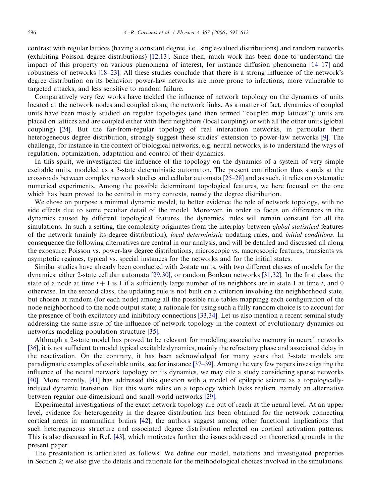contrast with regular lattices (having a constant degree, i.e., single-valued distributions) and random networks (exhibiting Poisson degree distributions) [\[12,13\].](#page-16-0) Since then, much work has been done to understand the impact of this property on various phenomena of interest, for instance diffusion phenomena [\[14–17\]](#page-16-0) and robustness of networks [\[18–23\].](#page-16-0) All these studies conclude that there is a strong influence of the network's degree distribution on its behavior: power-law networks are more prone to infections, more vulnerable to targeted attacks, and less sensitive to random failure.

Comparatively very few works have tackled the influence of network topology on the dynamics of units located at the network nodes and coupled along the network links. As a matter of fact, dynamics of coupled units have been mostly studied on regular topologies (and then termed ''coupled map lattices''): units are placed on lattices and are coupled either with their neighbors (local coupling) or with all the other units (global coupling) [\[24\]](#page-17-0). But the far-from-regular topology of real interaction networks, in particular their heterogeneous degree distribution, strongly suggest these studies' extension to power-law networks [\[9\]](#page-16-0). The challenge, for instance in the context of biological networks, e.g. neural networks, is to understand the ways of regulation, optimization, adaptation and control of their dynamics.

In this spirit, we investigated the influence of the topology on the dynamics of a system of very simple excitable units, modeled as a 3-state deterministic automaton. The present contribution thus stands at the crossroads between complex network studies and cellular automata [\[25–28\]](#page-17-0) and as such, it relies on systematic numerical experiments. Among the possible determinant topological features, we here focused on the one which has been proved to be central in many contexts, namely the degree distribution.

We chose on purpose a minimal dynamic model, to better evidence the role of network topology, with no side effects due to some peculiar detail of the model. Moreover, in order to focus on differences in the dynamics caused by different topological features, the dynamics' rules will remain constant for all the simulations. In such a setting, the complexity originates from the interplay between *global statistical* features of the network (mainly its degree distribution), local deterministic updating rules, and initial conditions. In consequence the following alternatives are central in our analysis, and will be detailed and discussed all along the exposure: Poisson vs. power-law degree distributions, microscopic vs. macroscopic features, transients vs. asymptotic regimes, typical vs. special instances for the networks and for the initial states.

Similar studies have already been conducted with 2-state units, with two different classes of models for the dynamics: either 2-state cellular automata [\[29,30\],](#page-17-0) or random Boolean networks [\[31,32\].](#page-17-0) In the first class, the state of a node at time  $t + 1$  is 1 if a sufficiently large number of its neighbors are in state 1 at time t, and 0 otherwise. In the second class, the updating rule is not built on a criterion involving the neighborhood state, but chosen at random (for each node) among all the possible rule tables mappingg each configuration of the node neighborhood to the node output state; a rationale for using such a fully random choice is to account for the presence of both excitatory and inhibitory connections [\[33,34\].](#page-17-0) Let us also mention a recent seminal study addressing the same issue of the influence of network topology in the context of evolutionary dynamics on networks modeling population structure [\[35\]](#page-17-0).

Although a 2-state model has proved to be relevant for modeling associative memory in neural networks [\[36\],](#page-17-0) it is not sufficient to model typical excitable dynamics, mainly the refractory phase and associated delay in the reactivation. On the contrary, it has been acknowledged for many years that 3-state models are paradigmatic examples of excitable units, see for instance [\[37–39\].](#page-17-0) Among the very few papers investigating the influence of the neural network topology on its dynamics, we may cite a study considering sparse networks [\[40\].](#page-17-0) More recently, [\[41\]](#page-17-0) has addressed this question with a model of epileptic seizure as a topologicallyinduced dynamic transition. But this work relies on a topology which lacks realism, namely an alternative between regular one-dimensional and small-world networks [\[29\]](#page-17-0).

Experimental investigations of the exact network topology are out of reach at the neural level. At an upper level, evidence for heterogeneity in the degree distribution has been obtained for the network connecting cortical areas in mammalian brains [\[42\];](#page-17-0) the authors suggest among other functional implications that such heterogeneous structure and associated degree distribution reflected on cortical activation patterns. This is also discussed in Ref. [\[43\]](#page-17-0), which motivates further the issues addressed on theoretical grounds in the present paper.

The presentation is articulated as follows. We define our model, notations and investigated properties in Section 2; we also give the details and rationale for the methodological choices involved in the simulations.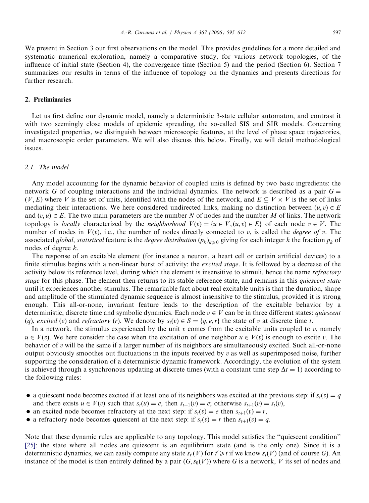We present in Section 3 our first observations on the model. This provides guidelines for a more detailed and systematic numerical exploration, namely a comparative study, for various network topologies, of the influence of initial state (Section 4), the convergence time (Section 5) and the period (Section 6). Section 7 summarizes our results in terms of the influence of topology on the dynamics and presents directions for further research.

# 2. Preliminaries

Let us first define our dynamic model, namely a deterministic 3-state cellular automaton, and contrast it with two seemingly close models of epidemic spreading, the so-called SIS and SIR models. Concerning investigated properties, we distinguish between microscopic features, at the level of phase space trajectories, and macroscopic order parameters. We will also discuss this below. Finally, we will detail methodological issues.

# 2.1. The model

Any model accounting for the dynamic behavior of coupled units is defined by two basic ingredients: the network G of coupling interactions and the individual dynamics. The network is described as a pair  $G =$  $(V, E)$  where V is the set of units, identified with the nodes of the network, and  $E \subseteq V \times V$  is the set of links mediating their interactions. We here considered undirected links, making no distinction between  $(u, v) \in E$ and  $(v, u) \in E$ . The two main parameters are the number N of nodes and the number M of links. The network topology is *locally* characterized by the *neighborhood*  $V(v) = \{u \in V, (u, v) \in E\}$  of each node  $v \in V$ . The number of nodes in  $V(v)$ , i.e., the number of nodes directly connected to v, is called the *degree of v*. The associated global, statistical feature is the degree distribution  $(p_k)_{k\geq 0}$  giving for each integer k the fraction  $p_k$  of nodes of degree k.

The response of an excitable element (for instance a neuron, a heart cell or certain artificial devices) to a finite stimulus begins with a non-linear burst of activity: the *excited stage*. It is followed by a decrease of the activity below its reference level, during which the element is insensitive to stimuli, hence the name refractory stage for this phase. The element then returns to its stable reference state, and remains in this quiescent state until it experiences another stimulus. The remarkable fact about real excitable units is that the duration, shape and amplitude of the stimulated dynamic sequence is almost insensitive to the stimulus, provided it is strong enough. This all-or-none, invariant feature leads to the description of the excitable behavior by a deterministic, discrete time and symbolic dynamics. Each node  $v \in V$  can be in three different states: *quiescent* (q), excited (e) and refractory (r). We denote by  $s_t(v) \in S = \{q, e, r\}$  the state of v at discrete time t.

In a network, the stimulus experienced by the unit v comes from the excitable units coupled to v, namely  $u \in V(v)$ . We here consider the case when the excitation of one neighbor  $u \in V(v)$  is enough to excite v. The behavior of  $v$  will be the same if a larger number of its neighbors are simultaneously excited. Such all-or-none output obviously smoothes out fluctuations in the inputs received by  $v$  as well as superimposed noise, further supporting the consideration of a deterministic dynamic framework. Accordingly, the evolution of the system is achieved through a synchronous updating at discrete times (with a constant time step  $\Delta t = 1$ ) according to the following rules:

- a quiescent node becomes excited if at least one of its neighbors was excited at the previous step: if  $s_t(v) = q$ and there exists  $u \in V(v)$  such that  $s_t(u) = e$ , then  $s_{t+1}(v) = e$ ; otherwise  $s_{t+1}(v) = s_t(v)$ ,
- an excited node becomes refractory at the next step: if  $s_t(v) = e$  then  $s_{t+1}(v) = r$ ,
- a refractory node becomes quiescent at the next step: if  $s_t(v) = r$  then  $s_{t+1}(v) = q$ .

Note that these dynamic rules are applicable to any topology. This model satisfies the ''quiescent condition'' [\[25\]](#page-17-0): the state where all nodes are quiescent is an equilibrium state (and is the only one). Since it is a deterministic dynamics, we can easily compute any state  $s_t(V)$  for  $t' \geq t$  if we know  $s_t(V)$  (and of course G). An instance of the model is then entirely defined by a pair  $(G, s_0(V))$  where G is a network, V its set of nodes and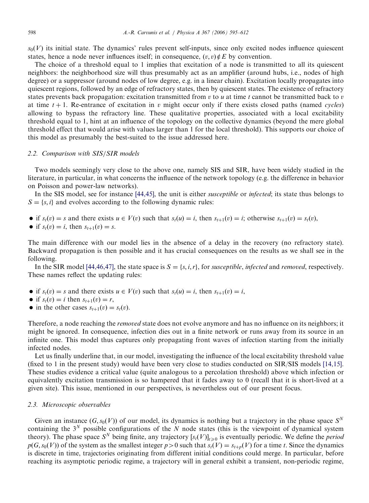$s_0(V)$  its initial state. The dynamics' rules prevent self-inputs, since only excited nodes influence quiescent states, hence a node never influences itself; in consequence,  $(v, v) \notin E$  by convention.

The choice of a threshold equal to 1 implies that excitation of a node is transmitted to all its quiescent neighbors: the neighborhood size will thus presumably act as an amplifier (around hubs, i.e., nodes of high degree) or a suppressor (around nodes of low degree, e.g. in a linear chain). Excitation locally propagates into quiescent regions, followed by an edge of refractory states, then by quiescent states. The existence of refractory states prevents back propagation: excitation transmitted from v to u at time t cannot be transmitted back to v at time  $t + 1$ . Re-entrance of excitation in v might occur only if there exists closed paths (named cycles) allowing to bypass the refractory line. These qualitative properties, associated with a local excitability threshold equal to 1, hint at an influence of the topology on the collective dynamics (beyond the mere global threshold effect that would arise with values larger than 1 for the local threshold). This supports our choice of this model as presumably the best-suited to the issue addressed here.

#### 2.2. Comparison with SIS/SIR models

Two models seemingly very close to the above one, namely SIS and SIR, have been widely studied in the literature, in particular, in what concerns the influence of the network topology (e.g. the difference in behavior on Poisson and power-law networks).

In the SIS model, see for instance [\[44,45\],](#page-17-0) the unit is either *susceptible* or *infected*; its state thus belongs to  $S = \{s, i\}$  and evolves according to the following dynamic rules:

- if  $s_t(v) = s$  and there exists  $u \in V(v)$  such that  $s_t(u) = i$ , then  $s_{t+1}(v) = i$ ; otherwise  $s_{t+1}(v) = s_t(v)$ ,
- if  $s_t(v) = i$ , then  $s_{t+1}(v) = s$ .

The main difference with our model lies in the absence of a delay in the recovery (no refractory state). Backward propagation is then possible and it has crucial consequences on the results as we shall see in the following.

In the SIR model [\[44,46,47\],](#page-17-0) the state space is  $S = \{s, i, r\}$ , for *susceptible*, *infected* and *removed*, respectively. These names reflect the updating rules:

- if  $s_t(v) = s$  and there exists  $u \in V(v)$  such that  $s_t(u) = i$ , then  $s_{t+1}(v) = i$ ,
- if  $s_t(v) = i$  then  $s_{t+1}(v) = r$ ,
- in the other cases  $s_{t+1}(v) = s_t(v)$ .

Therefore, a node reaching the *removed* state does not evolve anymore and has no influence on its neighbors; it might be ignored. In consequence, infection dies out in a finite network or runs away from its source in an infinite one. This model thus captures only propagating front waves of infection starting from the initially infected nodes.

Let us finally underline that, in our model, investigating the influence of the local excitability threshold value (fixed to 1 in the present study) would have been very close to studies conducted on SIR/SIS models [\[14,15\].](#page-16-0) These studies evidence a critical value (quite analogous to a percolation threshold) above which infection or equivalently excitation transmission is so hampered that it fades away to 0 (recall that it is short-lived at a given site). This issue, mentioned in our perspectives, is nevertheless out of our present focus.

#### 2.3. Microscopic observables

Given an instance  $(G, s_0(V))$  of our model, its dynamics is nothing but a trajectory in the phase space  $S<sup>N</sup>$ containing the  $3<sup>N</sup>$  possible configurations of the N node states (this is the viewpoint of dynamical system theory). The phase space S<sup>N</sup> being finite, any trajectory  $[s_t(V)]_{t\geq 0}$  is eventually periodic. We define the *period*  $p(G, s_0(V))$  of the system as the smallest integer  $p>0$  such that  $s_t(V) = s_{t+p}(V)$  for a time t. Since the dynamics is discrete in time, trajectories originating from different initial conditions could merge. In particular, before reaching its asymptotic periodic regime, a trajectory will in general exhibit a transient, non-periodic regime,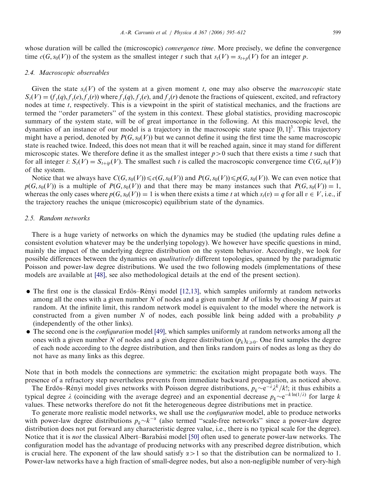whose duration will be called the (microscopic) *convergence time*. More precisely, we define the convergence time  $c(G, s_0(V))$  of the system as the smallest integer t such that  $s_t(V) = s_{t+p}(V)$  for an integer p.

## 2.4. Macroscopic observables

Given the state  $s<sub>i</sub>(V)$  of the system at a given moment t, one may also observe the *macroscopic* state  $S_t(V) = (f_i(q), f_i(e), f_i(r))$  where  $f_i(q), f_i(e)$ , and  $f_i(r)$  denote the fractions of quiescent, excited, and refractory nodes at time t, respectively. This is a viewpoint in the spirit of statistical mechanics, and the fractions are termed the ''order parameters'' of the system in this context. These global statistics, providing macroscopic summary of the system state, will be of great importance in the following. At this macroscopic level, the dynamics of an instance of our model is a trajectory in the macroscopic state space  $[0,1]^3$ . This trajectory might have a period, denoted by  $P(G, s_0(V))$  but we cannot define it using the first time the same macroscopic state is reached twice. Indeed, this does not mean that it will be reached again, since it may stand for different microscopic states. We therefore define it as the smallest integer  $p>0$  such that there exists a time t such that for all integer i:  $S_t(V) = S_{t+ip}(V)$ . The smallest such t is called the macroscopic convergence time  $C(G, s_0(V))$ of the system.

Notice that we always have  $C(G, s_0(V)) \leq c(G, s_0(V))$  and  $P(G, s_0(V)) \leq p(G, s_0(V))$ . We can even notice that  $p(G, s_0(V))$  is a multiple of  $P(G, s_0(V))$  and that there may be many instances such that  $P(G, s_0(V)) = 1$ , whereas the only cases where  $p(G, s_0(V)) = 1$  is when there exists a time t at which  $s_t(v) = q$  for all  $v \in V$ , i.e., if the trajectory reaches the unique (microscopic) equilibrium state of the dynamics.

# 2.5. Random networks

There is a huge variety of networks on which the dynamics may be studied (the updating rules define a consistent evolution whatever may be the underlying topology). We however have specific questions in mind, mainly the impact of the underlying degree distribution on the system behavior. Accordingly, we look for possible differences between the dynamics on qualitatively different topologies, spanned by the paradigmatic Poisson and power-law degree distributions. We used the two following models (implementations of these models are available at [\[48\]](#page-17-0), see also methodological details at the end of the present section).

- The first one is the classical Erdös–Rényi model [\[12,13\]](#page-16-0), which samples uniformly at random networks among all the ones with a given number N of nodes and a given number M of links by choosing M pairs at random. At the infinite limit, this random network model is equivalent to the model where the network is constructed from a given number N of nodes, each possible link being added with a probability  $p$ (independently of the other links).
- The second one is the *configuration* model [\[49\]](#page-17-0), which samples uniformly at random networks among all the ones with a given number N of nodes and a given degree distribution  $(p_k)_{k\geq0}$ . One first samples the degree of each node according to the degree distribution, and then links random pairs of nodes as long as they do not have as many links as this degree.

Note that in both models the connections are symmetric: the excitation might propagate both ways. The presence of a refractory step nevertheless prevents from immediate backward propagation, as noticed above.

The Erdös–Rényi model gives networks with Poisson degree distributions,  $p_k \sim e^{-\lambda} \lambda^k / k!$ ; it thus exhibits a typical degree  $\lambda$  (coinciding with the average degree) and an exponential decrease  $p_k \sim e^{-k \ln(1/\lambda)}$  for large k values. These networks therefore do not fit the heterogeneous degree distributions met in practice.

To generate more realistic model networks, we shall use the *configuration* model, able to produce networks with power-law degree distributions  $p_k \sim k^{-\alpha}$  (also termed "scale-free networks" since a power-law degree distribution does not put forward any characteristic degree value, i.e., there is no typical scale for the degree). Notice that it is *not* the classical Albert–Barabási model [\[50\]](#page-17-0) often used to generate power-law networks. The configuration model has the advantage of producing networks with any prescribed degree distribution, which is crucial here. The exponent of the law should satisfy  $\alpha > 1$  so that the distribution can be normalized to 1. Power-law networks have a high fraction of small-degree nodes, but also a non-negligible number of very-high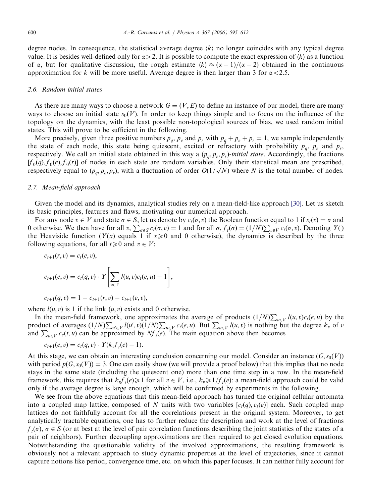degree nodes. In consequence, the statistical average degree  $\langle k \rangle$  no longer coincides with any typical degree value. It is besides well-defined only for  $\alpha > 2$ . It is possible to compute the exact expression of  $\langle k \rangle$  as a function of  $\alpha$ , but for qualitative discussion, the rough estimate  $\langle k \rangle \approx (\alpha - 1)/(\alpha - 2)$  obtained in the continuous approximation for k will be more useful. Average degree is then larger than 3 for  $\alpha < 2.5$ .

# 2.6. Random initial states

As there are many ways to choose a network  $G = (V, E)$  to define an instance of our model, there are many ways to choose an initial state  $s_0(V)$ . In order to keep things simple and to focus on the influence of the topology on the dynamics, with the least possible non-topological sources of bias, we used random initial states. This will prove to be sufficient in the following.

More precisely, given three positive numbers  $p_q$ ,  $p_e$  and  $p_r$  with  $p_q + p_e + p_r = 1$ , we sample independently the state of each node, this state being quiescent, excited or refractory with probability  $p_q$ ,  $p_e$  and  $p_r$ , respectively. We call an initial state obtained in this way a  $(p_q, p_e, p_r)$ -initial state. Accordingly, the fractions  $[f_0(q), f_0(e), f_0(r)]$  of nodes in each state are random variables. Only their statistical mean are prescribed,  $V_0(q), J_0(e), J_0(r)$  or nodes in each state are random variables. Only their statistical mean are prescribed, respectively equal to  $(p_q, p_e, p_r)$ , with a fluctuation of order  $O(1/\sqrt{N})$  where N is the total number of nodes.

#### 2.7. Mean-field approach

Given the model and its dynamics, analytical studies rely on a mean-field-like approach [\[30\]](#page-17-0). Let us sketch its basic principles, features and flaws, motivating our numerical approach.

For any node  $v \in V$  and state  $\sigma \in S$ , let us denote by  $c_t(\sigma, v)$  the Boolean function equal to 1 if  $s_t(v) = \sigma$  and 0 otherwise. We then have for all  $v, \sum_{\sigma \in S} c_t(\sigma, v) = 1$  and for all  $\sigma, f_t(\sigma) = (1/N) \sum_{v \in V} c_t(\sigma, v)$ . Denoting  $Y()$ the Heaviside function  $(Y(x)$  equals 1 if  $x \ge 0$  and 0 otherwise), the dynamics is described by the three following equations, for all  $t\geq0$  and  $v \in V$ :

$$
c_{t+1}(r, v) = c_t(e, v),
$$
  
\n
$$
c_{t+1}(e, v) = c_t(q, v) \cdot Y \left[ \sum_{u \in V} l(u, v) c_t(e, u) - 1 \right],
$$

$$
c_{t+1}(q, v) = 1 - c_{t+1}(r, v) - c_{t+1}(e, v),
$$

where  $l(u, v)$  is 1 if the link  $(u, v)$  exists and 0 otherwise.

In the mean-field framework, one approximates the average of products  $(1/N)\sum_{u\in V}l(u,v)c_i(e,u)$  by the product of averages  $(1/N)\sum_{u\in V}l(u',v)(1/N)\sum_{u\in V}c_t(e,u)$ . But  $\sum_{u\in V}l(u,v)$  is nothing but the degree  $k_v$  of v and  $\sum_{u \in V} c_e(t, u)$  can be approximed by  $Nf_i(e)$ . The main equation above then becomes

$$
c_{t+1}(e, v) = c_t(q, v) \cdot Y(k_v f_t(e) - 1).
$$

At this stage, we can obtain an interesting conclusion concerning our model. Consider an instance  $(G, s_0(V))$ with period  $p(G, s_0(V)) = 3$ . One can easily show (we will provide a proof below) that this implies that no node stays in the same state (including the quiescent one) more than one time step in a row. In the mean-field framework, this requires that  $k_v f_t(e) \geq 1$  for all  $v \in V$ , i.e.,  $k_v \geq 1/f_t(e)$ : a mean-field approach could be valid only if the average degree is large enough, which will be confirmed by experiments in the following.

We see from the above equations that this mean-field approach has turned the original cellular automata into a coupled map lattice, composed of N units with two variables  $[c_{\ell}(q), c_{\ell}(e)]$  each. Such coupled map lattices do not faithfully account for all the correlations present in the original system. Moreover, to get analytically tractable equations, one has to further reduce the description and work at the level of fractions  $f_i(\sigma)$ ,  $\sigma \in S$  (or at best at the level of pair correlation functions describing the joint statistics of the states of a pair of neighbors). Further decoupling approximations are then required to get closed evolution equations. Notwithstanding the questionable validity of the involved approximations, the resulting framework is obviously not a relevant approach to study dynamic properties at the level of trajectories, since it cannot capture notions like period, convergence time, etc. on which this paper focuses. It can neither fully account for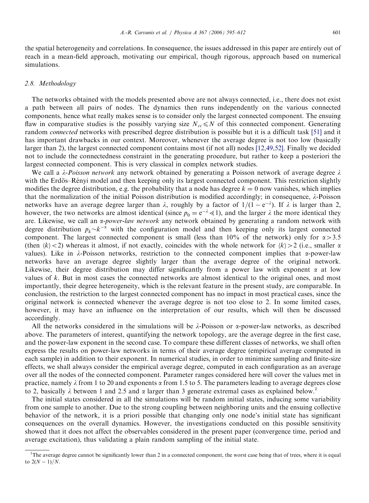the spatial heterogeneity and correlations. In consequence, the issues addressed in this paper are entirely out of reach in a mean-field approach, motivating our empirical, though rigorous, approach based on numerical simulations.

#### 2.8. Methodology

The networks obtained with the models presented above are not always connected, i.e., there does not exist a path between all pairs of nodes. The dynamics then runs independently on the various connected components, hence what really makes sense is to consider only the largest connected component. The ensuing flaw in comparative studies is the possibly varying size  $N_{cc} \le N$  of this connected component. Generating random connected networks with prescribed degree distribution is possible but it is a difficult task [\[51\]](#page-17-0) and it has important drawbacks in our context. Moreover, whenever the average degree is not too low (basically larger than 2), the largest connected component contains most (if not all) nodes [\[12,49,52\]](#page-16-0). Finally we decided not to include the connectedness constraint in the generating procedure, but rather to keep a posteriori the largest connected component. This is very classical in complex network studies.

We call a  $\lambda$ -Poisson network any network obtained by generating a Poisson network of average degree  $\lambda$ with the Erdös–Rényi model and then keeping only its largest connected component. This restriction slightly modifies the degree distribution, e.g. the probability that a node has degree  $k = 0$  now vanishes, which implies that the normalization of the initial Poisson distribution is modified accordingly; in consequence,  $\lambda$ -Poisson networks have an average degree larger than  $\lambda$ , roughly by a factor of  $1/(1 - e^{-\lambda})$ . If  $\lambda$  is larger than 2, however, the two networks are almost identical (since  $p_0 = e^{-\lambda} \ll 1$ ), and the larger  $\lambda$  the more identical they are. Likewise, we call an *a-power-law network* any network obtained by generating a random network with degree distribution  $p_k \sim k^{-\alpha}$  with the configuration model and then keeping only its largest connected component. The largest connected component is small (less than 10% of the network) only for  $\alpha > 3.5$ (then  $\langle k \rangle$  < 2) whereas it almost, if not exactly, coincides with the whole network for  $\langle k \rangle$  > 2 (i.e., smaller  $\alpha$ values). Like in  $\lambda$ -Poisson networks, restriction to the connected component implies that  $\alpha$ -power-law networks have an average degree slightly larger than the average degree of the original network. Likewise, their degree distribution may differ significantly from a power law with exponent  $\alpha$  at low values of  $k$ . But in most cases the connected networks are almost identical to the original ones, and most importantly, their degree heterogeneity, which is the relevant feature in the present study, are comparable. In conclusion, the restriction to the largest connected component has no impact in most practical cases, since the original network is connected whenever the average degree is not too close to 2. In some limited cases, however, it may have an influence on the interpretation of our results, which will then be discussed accordingly.

All the networks considered in the simulations will be  $\lambda$ -Poisson or  $\alpha$ -power-law networks, as described above. The parameters of interest, quantifying the network topology, are the average degree in the first case, and the power-law exponent in the second case. To compare these different classes of networks, we shall often express the results on power-law networks in terms of their average degree (empirical average computed in each sample) in addition to their exponent. In numerical studies, in order to minimize sampling and finite-size effects, we shall always consider the empirical average degree, computed in each configuration as an average over all the nodes of the connected component. Parameter ranges considered here will cover the values met in practice, namely  $\lambda$  from 1 to 20 and exponents  $\alpha$  from 1.5 to 5. The parameters leading to average degrees close to 2, basically  $\lambda$  between 1 and 2.5 and  $\alpha$  larger than 3 generate extremal cases as explained below.<sup>1</sup>

The initial states considered in all the simulations will be random initial states, inducing some variability from one sample to another. Due to the strong coupling between neighboring units and the ensuing collective behavior of the network, it is a priori possible that changing only one node's initial state has significant consequences on the overall dynamics. However, the investigations conducted on this possible sensitivity showed that it does not affect the observables considered in the present paper (convergence time, period and average excitation), thus validating a plain random sampling of the initial state.

<sup>&</sup>lt;sup>1</sup>The average degree cannot be significantly lower than 2 in a connected component, the worst case being that of trees, where it is equal to  $2(N-1)/N$ .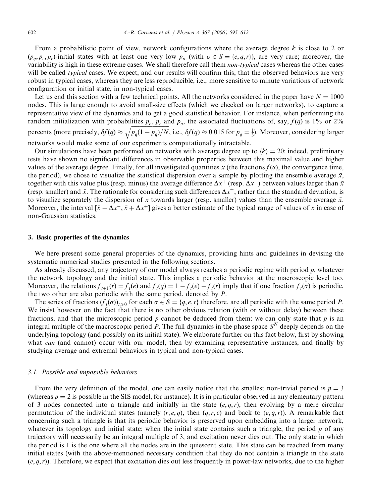From a probabilistic point of view, network configurations where the average degree  $k$  is close to 2 or  $(p_q, p_e, p_r)$ -initial states with at least one very low  $p_q$  (with  $\sigma \in S = \{e, q, r\}$ ), are very rare; moreover, the variability is high in these extreme cases. We shall therefore call them *non-typical* cases whereas the other cases will be called *typical* cases. We expect, and our results will confirm this, that the observed behaviors are very robust in typical cases, whereas they are less reproducible, i.e., more sensitive to minute variations of network configuration or initial state, in non-typical cases.

Let us end this section with a few technical points. All the networks considered in the paper have  $N = 1000$ nodes. This is large enough to avoid small-size effects (which we checked on larger networks), to capture a representative view of the dynamics and to get a good statistical behavior. For instance, when performing the random initialization with probabilities  $p_e$ ,  $p_r$  and  $p_q$ , the associated fluctuations of, say,  $f(q)$  is 1% or 2% percents (more precisely,  $\delta f(q) \approx$  $\frac{f(\theta)+f(\theta)+f(\theta)}{f(\theta)+f(\theta)}$  $p_q(1-p_q)/N$  $\sqrt{p_q(1-p_q)/N}$ , i.e.,  $\delta f(q) \approx 0.015$  for  $p_q = \frac{1}{3}$ . Moreover, considering larger networks would make some of our experiments computationally intractable.

Our simulations have been performed on networks with average degree up to  $\langle k \rangle = 20$ : indeed, preliminary tests have shown no significant differences in observable properties between this maximal value and higher values of the average degree. Finally, for all investigated quantities x (the fractions  $f(x)$ , the convergence time, the period), we chose to visualize the statistical dispersion over a sample by plotting the ensemble average  $\bar{x}$ , together with this value plus (resp. minus) the average difference  $\Delta x^+$  (resp.  $\Delta x^-$ ) between values larger than  $\bar{x}$ (resp. smaller) and  $\bar{x}$ . The rationale for considering such differences  $\Delta x^{\pm}$ , rather than the standard deviation, is to visualize separately the dispersion of x towards larger (resp. smaller) values than the ensemble average  $\bar{x}$ . Moreover, the interval  $[\bar{x} - \Delta x^-, \bar{x} + \Delta x^+]$  gives a better estimate of the typical range of values of x in case of non-Gaussian statistics.

# 3. Basic properties of the dynamics

We here present some general properties of the dynamics, providing hints and guidelines in devising the systematic numerical studies presented in the following sections.

As already discussed, any trajectory of our model always reaches a periodic regime with period  $p$ , whatever the network topology and the initial state. This implies a periodic behavior at the macroscopic level too. Moreover, the relations  $f_{t+1}(r) = f_t(e)$  and  $f_t(q) = 1 - f_t(e) - f_t(r)$  imply that if one fraction  $f_t(\sigma)$  is periodic, the two other are also periodic with the same period, denoted by P.

The series of fractions  $(f_1(\sigma))_{\sigma>0}$  for each  $\sigma \in S = \{q, e, r\}$  therefore, are all periodic with the same period P. We insist however on the fact that there is no other obvious relation (with or without delay) between these fractions, and that the microscopic period  $p$  cannot be deduced from them: we can only state that  $p$  is an integral multiple of the macroscopic period  $\tilde{P}$ . The full dynamics in the phase space  $S<sup>N</sup>$  deeply depends on the underlying topology (and possibly on its initial state). We elaborate further on this fact below, first by showing what *can* (and cannot) occur with our model, then by examining representative instances, and finally by studying average and extremal behaviors in typical and non-typical cases.

#### 3.1. Possible and impossible behaviors

From the very definition of the model, one can easily notice that the smallest non-trivial period is  $p = 3$ (whereas  $p = 2$  is possible in the SIS model, for instance). It is in particular observed in any elementary pattern of 3 nodes connected into a triangle and initially in the state  $(e, q, r)$ , then evolving by a mere circular permutation of the individual states (namely  $(r, e, q)$ , then  $(q, r, e)$  and back to  $(e, q, r)$ ). A remarkable fact concerning such a triangle is that its periodic behavior is preserved upon embedding into a larger network, whatever its topology and initial state: when the initial state contains such a triangle, the period  $p$  of any trajectory will necessarily be an integral multiple of 3, and excitation never dies out. The only state in which the period is 1 is the one where all the nodes are in the quiescent state. This state can be reached from many initial states (with the above-mentioned necessary condition that they do not contain a triangle in the state  $(e, q, r)$ ). Therefore, we expect that excitation dies out less frequently in power-law networks, due to the higher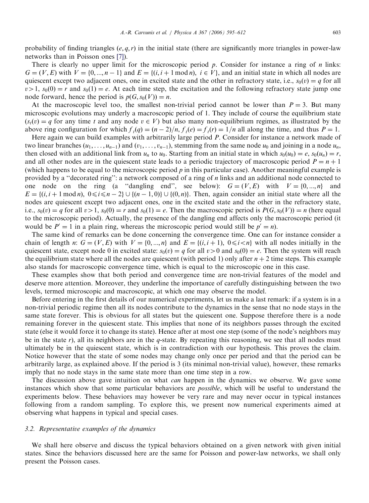probability of finding triangles  $(e, q, r)$  in the initial state (there are significantly more triangles in power-law networks than in Poisson ones [\[7\]\)](#page-16-0).

There is clearly no upper limit for the microscopic period  $p$ . Consider for instance a ring of  $n$  links:  $G = (V, E)$  with  $V = \{0, ..., n-1\}$  and  $E = \{(i, i+1 \mod n), i \in V\}$ , and an initial state in which all nodes are quiescent except two adjacent ones, one in excited state and the other in refractory state, i.e.,  $s_0(v) = q$  for all  $v>1$ ,  $s<sub>0</sub>(0) = r$  and  $s<sub>0</sub>(1) = e$ . At each time step, the excitation and the following refractory state jump one node forward, hence the period is  $p(G, s_0(V)) = n$ .

At the macroscopic level too, the smallest non-trivial period cannot be lower than  $P = 3$ . But many microscopic evolutions may underly a macroscopic period of 1. They include of course the equilibrium state  $(s_t(v) = q$  for any time t and any node  $v \in V$ ) but also many non-equilibrium regimes, as illustrated by the above ring configuration for which  $f_i(q) = (n-2)/n$ ,  $f_i(e) = f_i(r) = 1/n$  all along the time, and thus  $P = 1$ .

Here again we can build examples with arbitrarily large period P. Consider for instance a network made of two linear branches  $(u_1, \ldots, u_{n-1})$  and  $(v_1, \ldots, v_{n-1})$ , stemming from the same node  $u_0$  and joining in a node  $u_n$ , then closed with an additional link from  $u_n$  to  $u_0$ . Starting from an initial state in which  $s_0(u_0) = e$ ,  $s_0(u_n) = r$ , and all other nodes are in the quiescent state leads to a periodic trajectory of macroscopic period  $P = n + 1$ (which happens to be equal to the microscopic period  $p$  in this particular case). Another meaningful example is provided by a ''decorated ring'': a network composed of a ring of n links and an additional node connected to one node on the ring (a "dangling end", see below):  $G = (V, E)$  with  $V = \{0, ..., n\}$  and  $E = \{(i, i + 1 \mod n), 0 \le i \le n - 2\} \cup \{(n - 1, 0)\} \cup \{(0, n)\}.$  Then, again consider an initial state where all the nodes are quiescent except two adjacent ones, one in the excited state and the other in the refractory state, i.e.,  $s_0(v) = q$  for all  $v > 1$ ,  $s_0(0) = r$  and  $s_0(1) = e$ . Then the macroscopic period is  $P(G, s_0(V)) = n$  (here equal to the microscopic period). Actually, the presence of the dangling end affects only the macroscopic period (it would be  $P' = 1$  in a plain ring, whereas the microscopic period would still be  $p' = n$ ).

The same kind of remarks can be done concerning the convergence time. One can for instance consider a chain of length n:  $G = (V, E)$  with  $V = \{0, ..., n\}$  and  $E = \{(i, i + 1), 0 \le i < n\}$  with all nodes initially in the quiescent state, except node 0 in excited state:  $s_0(v) = q$  for all  $v > 0$  and  $s_0(0) = e$ . Then the system will reach the equilibrium state where all the nodes are quiescent (with period 1) only after  $n + 2$  time steps. This example also stands for macroscopic convergence time, which is equal to the microscopic one in this case.

These examples show that both period and convergence time are non-trivial features of the model and deserve more attention. Moreover, they underline the importance of carefully distinguishing between the two levels, termed microscopic and macroscopic, at which one may observe the model.

Before entering in the first details of our numerical experiments, let us make a last remark: if a system is in a non-trivial periodic regime then all its nodes contribute to the dynamics in the sense that no node stays in the same state forever. This is obvious for all states but the quiescent one. Suppose therefore there is a node remaining forever in the quiescent state. This implies that none of its neighbors passes through the excited state (else it would force it to change its state). Hence after at most one step (some of the node's neighbors may be in the state  $r$ ), all its neighbors are in the  $q$ -state. By repeating this reasoning, we see that all nodes must ultimately be in the quiescent state, which is in contradiction with our hypothesis. This proves the claim. Notice however that the state of some nodes may change only once per period and that the period can be arbitrarily large, as explained above. If the period is 3 (its minimal non-trivial value), however, these remarks imply that no node stays in the same state more than one time step in a row.

The discussion above gave intuition on what *can* happen in the dynamics we observe. We gave some instances which show that some particular behaviors are possible, which will be useful to understand the experiments below. These behaviors may however be very rare and may never occur in typical instances following from a random sampling. To explore this, we present now numerical experiments aimed at observing what happens in typical and special cases.

## 3.2. Representative examples of the dynamics

We shall here observe and discuss the typical behaviors obtained on a given network with given initial states. Since the behaviors discussed here are the same for Poisson and power-law networks, we shall only present the Poisson cases.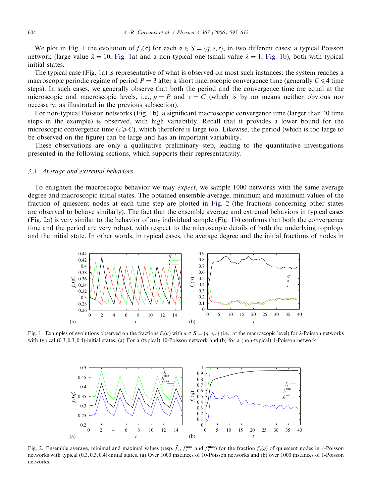<span id="page-9-0"></span>We plot in Fig. 1 the evolution of  $f_0(\sigma)$  for each  $\alpha \in S = \{q, e, r\}$ , in two different cases: a typical Poisson network (large value  $\lambda = 10$ , Fig. 1a) and a non-typical one (small value  $\lambda = 1$ , Fig. 1b), both with typical initial states.

The typical case (Fig. 1a) is representative of what is observed on most such instances: the system reaches a macroscopic periodic regime of period  $P = 3$  after a short macroscopic convergence time (generally  $C \leq 4$  time steps). In such cases, we generally observe that both the period and the convergence time are equal at the microscopic and macroscopic levels, i.e.,  $p = P$  and  $c = C$  (which is by no means neither obvious nor necessary, as illustrated in the previous subsection).

For non-typical Poisson networks (Fig. 1b), a significant macroscopic convergence time (larger than 40 time steps in the example) is observed, with high variability. Recall that it provides a lower bound for the microscopic convergence time ( $c \geq C$ ), which therefore is large too. Likewise, the period (which is too large to be observed on the figure) can be large and has an important variability.

These observations are only a qualitative preliminary step, leading to the quantitative investigations presented in the following sections, which supports their representativity.

# 3.3. Average and extremal behaviors

To enlighten the macroscopic behavior we may expect, we sample 1000 networks with the same average degree and macroscopic initial states. The obtained ensemble average, minimum and maximum values of the fraction of quiescent nodes at each time step are plotted in Fig. 2 (the fractions concerning other states are observed to behave similarly). The fact that the ensemble average and extremal behaviors in typical cases (Fig. 2a) is very similar to the behavior of any individual sample (Fig. 1b) confirms that both the convergence time and the period are very robust, with respect to the microscopic details of both the underlying topology and the initial state. In other words, in typical cases, the average degree and the initial fractions of nodes in



Fig. 1. Examples of evolutions observed on the fractions  $f_i(\sigma)$  with  $\sigma \in S = \{q, e, r\}$  (i.e., at the macroscopic level) for  $\lambda$ -Poisson networks with typical  $(0.3, 0.3, 0.4)$ -initial states. (a) For a (typical) 10-Poisson network and (b) for a (non-typical) 1-Poisson network.



Fig. 2. Ensemble average, minimal and maximal values (resp.  $\bar{f}_t$ ,  $f_t^{\min}$  and  $f_t^{\max}$ ) for the fraction  $f_t(q)$  of quiescent nodes in  $\lambda$ -Poisson networks with typical (0.3, 0.3, 0.4)-initial states. (a) Over 1000 instances of 10-Poisson networks and (b) over 1000 instances of 1-Poisson networks.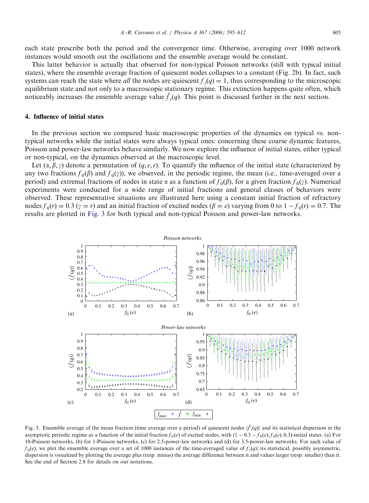each state prescribe both the period and the convergence time. Otherwise, averaging over 1000 network instances would smooth out the oscillations and the ensemble average would be constant.

This latter behavior is actually that observed for non-typical Poisson networks (still with typical initial states), where the ensemble average fraction of quiescent nodes collapses to a constant (Fig. [2b](#page-9-0)). In fact, such systems can reach the state where *all* the nodes are quiescent  $f_i(q) = 1$ , thus corresponding to the microscopic equilibrium state and not only to a macroscopic stationary regime. This extinction happens quite often, which noticeably increases the ensemble average value  $\bar{f}_t(q)$ . This point is discussed further in the next section.

# 4. Influence of initial states

In the previous section we compared basic macroscopic properties of the dynamics on typical vs. nontypical networks while the initial states were always typical ones: concerning these coarse dynamic features, Poisson and power-law networks behave similarly. We now explore the influence of initial states, either typical or non-typical, on the dynamics observed at the macroscopic level.

Let  $(\alpha, \beta, \gamma)$  denote a permutation of  $(q, e, r)$ . To quantify the influence of the initial state (characterized by any two fractions  $f_0(\beta)$  and  $f_0(\gamma)$ , we observed, in the periodic regime, the mean (i.e., time-averaged over a period) and extremal fractions of nodes in state  $\alpha$  as a function of  $f_0(\beta)$ , for a given fraction  $f_0(\gamma)$ . Numerical experiments were conducted for a wide range of initial fractions and general classes of behaviors were observed. These representative situations are illustrated here using a constant initial fraction of refractory nodes  $f_0(r) = 0.3$  ( $\gamma = r$ ) and an initial fraction of excited nodes ( $\beta = e$ ) varying from 0 to  $1 - f_0(r) = 0.7$ . The results are plotted in Fig. 3 for both typical and non-typical Poisson and power-law networks.



Fig. 3. Ensemble average of the mean fraction (time average over a period) of quiescent nodes  $\langle \vec{f}_t(q) \rangle$  and its statistical dispersion in the asymptotic periodic regime as a function of the initial fraction  $f_0(e)$  of excited nodes, with  $(1 - 0.3 - f_0(e), f_0(e), 0.3)$ -initial states. (a) For 10-Poisson networks, (b) for 1-Poisson networks, (c) for 2:5-power-law networks and (d) for 3:5-power-law networks. For each value of  $f_0(e)$ , we plot the ensemble average over a set of 1000 instances of the time-averaged value of  $f_1(q)$ ; its statistical, possibly asymmetric, dispersion is visualized by plotting the average plus (resp. minus) the average difference between it and values larger (resp. smaller) than it. See the end of Section 2.8 for details on our notations.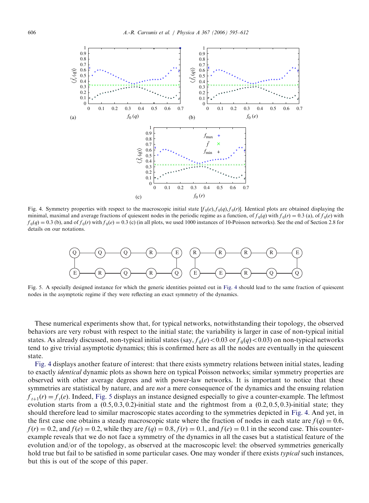

Fig. 4. Symmetry properties with respect to the macroscopic initial state  $[f_0(e), f_0(q), f_0(r)]$ . Identical plots are obtained displaying the minimal, maximal and average fractions of quiescent nodes in the periodic regime as a function, of  $f_0(q)$  with  $f_0(r) = 0.3$  (a), of  $f_0(e)$  with  $f_0(q) = 0.3$  (b), and of  $f_0(r)$  with  $f_0(e) = 0.3$  (c) (in all plots, we used 1000 instances of 10-Poisson networks). See the end of Section 2.8 for details on our notations.



Fig. 5. A specially designed instance for which the generic identities pointed out in Fig. 4 should lead to the same fraction of quiescent nodes in the asymptotic regime if they were reflecting an exact symmetry of the dynamics.

These numerical experiments show that, for typical networks, notwithstanding their topology, the observed behaviors are very robust with respect to the initial state; the variability is larger in case of non-typical initial states. As already discussed, non-typical initial states (say,  $f_0(e) < 0.03$  or  $f_0(q) < 0.03$ ) on non-typical networks tend to give trivial asymptotic dynamics; this is confirmed here as all the nodes are eventually in the quiescent state.

Fig. 4 displays another feature of interest: that there exists symmetry relations between initial states, leading to exactly *identical* dynamic plots as shown here on typical Poisson networks; similar symmetry properties are observed with other average degrees and with power-law networks. It is important to notice that these symmetries are statistical by nature, and are *not* a mere consequence of the dynamics and the ensuing relation  $f_{t+1}(r) = f_t(e)$ . Indeed, Fig. 5 displays an instance designed especially to give a counter-example. The leftmost evolution starts from a  $(0.5, 0.3, 0.2)$ -initial state and the rightmost from a  $(0.2, 0.5, 0.3)$ -initial state; they should therefore lead to similar macroscopic states according to the symmetries depicted in Fig. 4. And yet, in the first case one obtains a steady macroscopic state where the fraction of nodes in each state are  $f(q) = 0.6$ ,  $f(r) = 0.2$ , and  $f(e) = 0.2$ , while they are  $f(q) = 0.8$ ,  $f(r) = 0.1$ , and  $f(e) = 0.1$  in the second case. This counterexample reveals that we do not face a symmetry of the dynamics in all the cases but a statistical feature of the evolution and/or of the topology, as observed at the macroscopic level: the observed symmetries generically hold true but fail to be satisfied in some particular cases. One may wonder if there exists typical such instances, but this is out of the scope of this paper.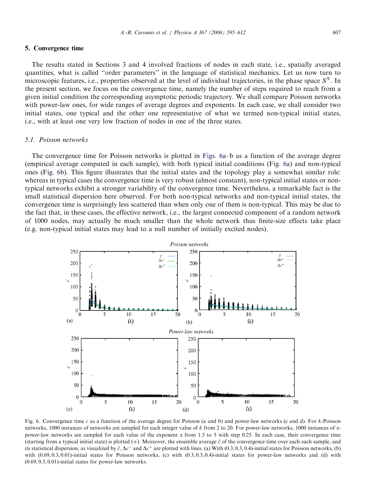# <span id="page-12-0"></span>5. Convergence time

The results stated in Sections 3 and 4 involved fractions of nodes in each state, i.e., spatially averaged quantities, what is called ''order parameters'' in the language of statistical mechanics. Let us now turn to microscopic features, i.e., properties observed at the level of individual trajectories, in the phase space  $S<sup>N</sup>$ . In the present section, we focus on the convergence time, namely the number of steps required to reach from a given initial condition the corresponding asymptotic periodic trajectory. We shall compare Poisson networks with power-law ones, for wide ranges of average degrees and exponents. In each case, we shall consider two initial states, one typical and the other one representative of what we termed non-typical initial states, i.e., with at least one very low fraction of nodes in one of the three states.

# 5.1. Poisson networks

The convergence time for Poisson networks is plotted in Figs. 6a–b as a function of the average degree (empirical average computed in each sample), with both typical initial conditions (Fig. 6a) and non-typical ones (Fig. 6b). This figure illustrates that the initial states and the topology play a somewhat similar role: whereas in typical cases the convergence time is very robust (almost constant), non-typical initial states or nontypical networks exhibit a stronger variability of the convergence time. Nevertheless, a remarkable fact is the small statistical dispersion here observed. For both non-typical networks and non-typical initial states, the convergence time is surprisingly less scattered than when only one of them is non-typical. This may be due to the fact that, in these cases, the effective network, i.e., the largest connected component of a random network of 1000 nodes, may actually be much smaller than the whole network thus finite-size effects take place (e.g. non-typical initial states may lead to a null number of initially excited nodes).



Fig. 6. Convergence time c as a function of the average degree for Poisson (a and b) and power-law networks (c and d). For k-Poisson networks, 1000 instances of networks are sampled for each integer value of k from 2 to 20. For power-law networks, 1000 instances of apower-law networks are sampled for each value of the exponent  $\alpha$  from 1.5 to 5 with step 0.25. In each case, their convergence time (starting from a typical initial state) is plotted  $(+)$ . Moreover, the ensemble average  $\bar{c}$  of the convergence time over each such sample, and its statistical dispersion, as visualized by  $\bar{c}$ ,  $\Delta c^-$  and  $\Delta c^+$  are plotted with lines. (a) With (0.3, 0.3, 0.4)-initial states for Poisson networks, (b) with  $(0.69, 0.3, 0.01)$ -initial states for Poisson networks, (c) with  $(0.3, 0.3, 0.4)$ -initial states for power-law networks and (d) with  $(0.69, 0.3, 0.01)$ -initial states for power-law networks.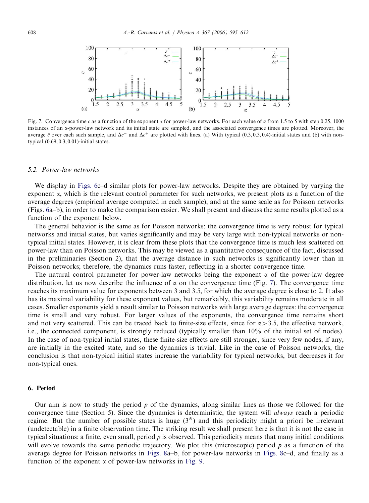

Fig. 7. Convergence time c as a function of the exponent  $\alpha$  for power-law networks. For each value of  $\alpha$  from 1.5 to 5 with step 0.25, 1000 instances of an a-power-law network and its initial state are sampled, and the associated convergence times are plotted. Moreover, the average  $\bar{c}$  over each such sample, and  $\Delta c^-$  and  $\Delta c^+$  are plotted with lines. (a) With typical (0.3, 0.3, 0.4)-initial states and (b) with nontypical  $(0.69, 0.3, 0.01)$ -initial states.

# 5.2. Power-law networks

We display in [Figs. 6c](#page-12-0)–d similar plots for power-law networks. Despite they are obtained by varying the exponent  $\alpha$ , which is the relevant control parameter for such networks, we present plots as a function of the average degrees (empirical average computed in each sample), and at the same scale as for Poisson networks (Figs. [6a](#page-12-0)–b), in order to make the comparison easier. We shall present and discuss the same results plotted as a function of the exponent below.

The general behavior is the same as for Poisson networks: the convergence time is very robust for typical networks and initial states, but varies significantly and may be very large with non-typical networks or nontypical initial states. However, it is clear from these plots that the convergence time is much less scattered on power-law than on Poisson networks. This may be viewed as a quantitative consequence of the fact, discussed in the preliminaries (Section 2), that the average distance in such networks is significantly lower than in Poisson networks; therefore, the dynamics runs faster, reflecting in a shorter convergence time.

The natural control parameter for power-law networks being the exponent  $\alpha$  of the power-law degree distribution, let us now describe the influence of  $\alpha$  on the convergence time (Fig. 7). The convergence time reaches its maximum value for exponents between 3 and 3:5, for which the average degree is close to 2. It also has its maximal variability for these exponent values, but remarkably, this variability remains moderate in all cases. Smaller exponents yield a result similar to Poisson networks with large average degrees: the convergence time is small and very robust. For larger values of the exponents, the convergence time remains short and not very scattered. This can be traced back to finite-size effects, since for  $\alpha > 3.5$ , the effective network, i.e., the connected component, is strongly reduced (typically smaller than 10% of the initial set of nodes). In the case of non-typical initial states, these finite-size effects are still stronger, since very few nodes, if any, are initially in the excited state, and so the dynamics is trivial. Like in the case of Poisson networks, the conclusion is that non-typical initial states increase the variability for typical networks, but decreases it for non-typical ones.

## 6. Period

Our aim is now to study the period  $p$  of the dynamics, along similar lines as those we followed for the convergence time (Section 5). Since the dynamics is deterministic, the system will *always* reach a periodic regime. But the number of possible states is huge  $(3<sup>N</sup>)$  and this periodicity might a priori be irrelevant (undetectable) in a finite observation time. The striking result we shall present here is that it is not the case in typical situations: a finite, even small, period  $p$  is observed. This periodicity means that many initial conditions will evolve towards the same periodic trajectory. We plot this (microscopic) period  $p$  as a function of the average degree for Poisson networks in [Figs. 8a](#page-14-0)–b, for power-law networks in [Figs. 8](#page-14-0)c–d, and finally as a function of the exponent  $\alpha$  of power-law networks in [Fig. 9](#page-14-0).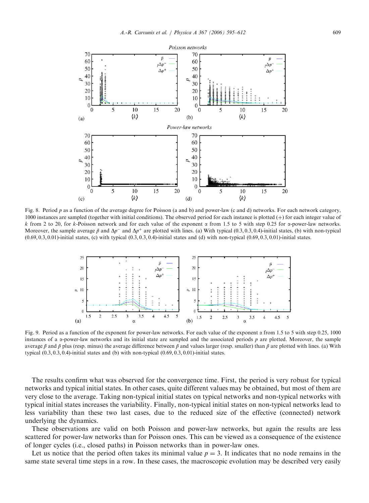<span id="page-14-0"></span>

Fig. 8. Period  $p$  as a function of the average degree for Poisson (a and b) and power-law (c and d) networks. For each network category, 1000 instances are sampled (together with initial conditions). The observed period for each instance is plotted  $(+)$  for each integer value of k from 2 to 20, for k-Poisson network and for each value of the exponent  $\alpha$  from 1.5 to 5 with step 0.25 for  $\alpha$ -power-law networks. Moreover, the sample average  $\bar{p}$  and  $\Delta p^{-}$  and  $\Delta p^{+}$  are plotted with lines. (a) With typical (0.3, 0.3, 0.4)-initial states, (b) with non-typical  $(0.69, 0.3, 0.01)$ -initial states, (c) with typical  $(0.3, 0.3, 0.4)$ -initial states and  $(d)$  with non-typical  $(0.69, 0.3, 0.01)$ -initial states.



Fig. 9. Period as a function of the exponent for power-law networks. For each value of the exponent  $\alpha$  from 1.5 to 5 with step 0.25, 1000 instances of a  $\alpha$ -power-law networks and its initial state are sampled and the associated periods  $p$  are plotted. Moreover, the sample average  $\bar{p}$  and  $\bar{p}$  plus (resp. minus) the average difference between  $\bar{p}$  and values larger (resp. smaller) than  $\bar{p}$  are plotted with lines. (a) With typical  $(0.3, 0.3, 0.4)$ -initial states and  $(b)$  with non-typical  $(0.69, 0.3, 0.01)$ -initial states.

The results confirm what was observed for the convergence time. First, the period is very robust for typical networks and typical initial states. In other cases, quite different values may be obtained, but most of them are very close to the average. Taking non-typical initial states on typical networks and non-typical networks with typical initial states increases the variability. Finally, non-typical initial states on non-typical networks lead to less variability than these two last cases, due to the reduced size of the effective (connected) network underlying the dynamics.

These observations are valid on both Poisson and power-law networks, but again the results are less scattered for power-law networks than for Poisson ones. This can be viewed as a consequence of the existence of longer cycles (i.e., closed paths) in Poisson networks than in power-law ones.

Let us notice that the period often takes its minimal value  $p = 3$ . It indicates that no node remains in the same state several time steps in a row. In these cases, the macroscopic evolution may be described very easily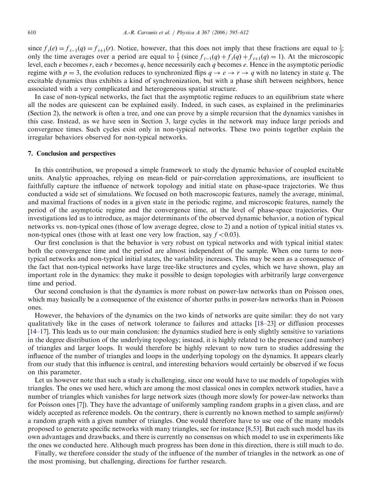since  $f_i(e) = f_{t-1}(q) = f_{t+1}(r)$ . Notice, however, that this does not imply that these fractions are equal to  $\frac{1}{3}$ ; only the time averages over a period are equal to  $\frac{1}{3}$  (since  $f_{t-1}(q) + f_t(q) + f_{t+1}(q) = 1$ ). At the microscopic level, each e becomes r, each r becomes q, hence necessarily each q becomes e. Hence in the asymptotic periodic regime with  $p = 3$ , the evolution reduces to synchronized flips  $q \to e \to r \to q$  with no latency in state q. The excitable dynamics thus exhibits a kind of synchronization, but with a phase shift between neighbors, hence associated with a very complicated and heterogeneous spatial structure.

In case of non-typical networks, the fact that the asymptotic regime reduces to an equilibrium state where all the nodes are quiescent can be explained easily. Indeed, in such cases, as explained in the preliminaries (Section 2), the network is often a tree, and one can prove by a simple recursion that the dynamics vanishes in this case. Instead, as we have seen in Section 3, large cycles in the network may induce large periods and convergence times. Such cycles exist only in non-typical networks. These two points together explain the irregular behaviors observed for non-typical networks.

#### 7. Conclusion and perspectives

In this contribution, we proposed a simple framework to study the dynamic behavior of coupled excitable units. Analytic approaches, relying on mean-field or pair-correlation approximations, are insufficient to faithfully capture the influence of network topology and initial state on phase-space trajectories. We thus conducted a wide set of simulations. We focused on both macroscopic features, namely the average, minimal, and maximal fractions of nodes in a given state in the periodic regime, and microscopic features, namely the period of the asymptotic regime and the convergence time, at the level of phase-space trajectories. Our investigations led us to introduce, as major determinants of the observed dynamic behavior, a notion of typical networks vs. non-typical ones (those of low average degree, close to 2) and a notion of typical initial states vs. non-typical ones (those with at least one very low fraction, say  $f < 0.03$ ).

Our first conclusion is that the behavior is very robust on typical networks and with typical initial states: both the convergence time and the period are almost independent of the sample. When one turns to nontypical networks and non-typical initial states, the variability increases. This may be seen as a consequence of the fact that non-typical networks have large tree-like structures and cycles, which we have shown, play an important role in the dynamics: they make it possible to design topologies with arbitrarily large convergence time and period.

Our second conclusion is that the dynamics is more robust on power-law networks than on Poisson ones, which may basically be a consequence of the existence of shorter paths in power-law networks than in Poisson ones.

However, the behaviors of the dynamics on the two kinds of networks are quite similar: they do not vary qualitatively like in the cases of network tolerance to failures and attacks [\[18–23\]](#page-16-0) or diffusion processes [\[14–17\]](#page-16-0). This leads us to our main conclusion: the dynamics studied here is only slightly sensitive to variations in the degree distribution of the underlying topology; instead, it is highly related to the presence (and number) of triangles and larger loops. It would therefore be highly relevant to now turn to studies addressing the influence of the number of triangles and loops in the underlying topology on the dynamics. It appears clearly from our study that this influence is central, and interesting behaviors would certainly be observed if we focus on this parameter.

Let us however note that such a study is challenging, since one would have to use models of topologies with triangles. The ones we used here, which are among the most classical ones in complex network studies, have a number of triangles which vanishes for large network sizes (though more slowly for power-law networks than for Poisson ones [\[7\]](#page-16-0)). They have the advantage of uniformly sampling random graphs in a given class, and are widely accepted as reference models. On the contrary, there is currently no known method to sample *uniformly* a random graph with a given number of triangles. One would therefore have to use one of the many models proposed to generate specific networks with many triangles, see for instance [\[8,53\].](#page-16-0) But each such model has its own advantages and drawbacks, and there is currently no consensus on which model to use in experiments like the ones we conducted here. Although much progress has been done in this direction, there is still much to do.

Finally, we therefore consider the study of the influence of the number of triangles in the network as one of the most promising, but challenging, directions for further research.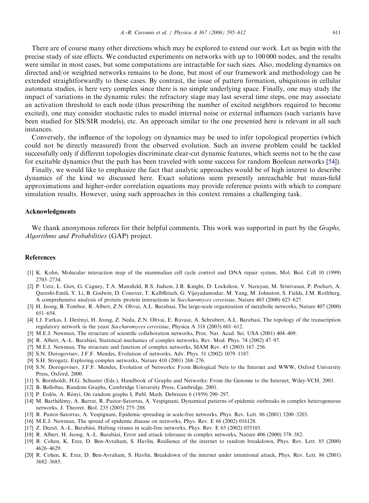<span id="page-16-0"></span>There are of course many other directions which may be explored to extend our work. Let us begin with the precise study of size effects. We conducted experiments on networks with up to 100 000 nodes, and the results were similar in most cases, but some computations are intractable for such sizes. Also, modeling dynamics on directed and/or weighted networks remains to be done, but most of our framework and methodology can be extended straightforwardly to these cases. By contrast, the issue of pattern formation, ubiquitous in cellular automata studies, is here very complex since there is no simple underlying space. Finally, one may study the impact of variations in the dynamic rules: the refractory stage may last several time steps, one may associate an activation threshold to each node (thus prescribing the number of excited neighbors required to become excited), one may consider stochastic rules to model internal noise or external influences (such variants have been studied for SIS/SIR models), etc. An approach similar to the one presented here is relevant in all such instances.

Conversely, the influence of the topology on dynamics may be used to infer topological properties (which could not be directly measured) from the observed evolution. Such an inverse problem could be tackled successfully only if different topologies discriminate clear-cut dynamic features, which seems not to be the case for excitable dynamics (but the path has been traveled with some success for random Boolean networks [\[54\]](#page-17-0)).

Finally, we would like to emphasize the fact that analytic approaches would be of high interest to describe dynamics of the kind we discussed here. Exact solutions seem presently unreachable but mean-field approximations and higher-order correlation equations may provide reference points with which to compare simulation results. However, using such approaches in this context remains a challenging task.

# Acknowledgments

We thank anonymous referees for their helpful comments. This work was supported in part by the Graphs, Algorithms and Probabilities (GAP) project.

## References

- [1] K. Kohn, Molecular interaction map of the mammalian cell cycle control and DNA repair system, Mol. Biol. Cell 10 (1999) 2703–2734.
- [2] P. Uetz, L. Giot, G. Cagney, T.A. Mansfield, R.S. Judson, J.R. Knight, D. Lockshon, V. Narayan, M. Srinivasan, P. Pochart, A. Qureshi-Emili, Y. Li, B. Godwin, D. Conover, T. Kalbfleisch, G. Vijayadamodar, M. Yang, M. Johnston, S. Fields, J.M. Rothberg, A comprehensive analysis of protein–protein interactions in Saccharomyces cerevisiae, Nature 403 (2000) 623–627.
- [3] H. Jeong, B. Tombor, R. Albert, Z.N. Oltvai, A.L. Barabasi, The large-scale organization of metabolic networks, Nature 407 (2000) 651–654.
- [4] I.J. Farkas, I. Derényi, H. Jeong, Z. Neda, Z.N. Oltvai, E. Ravasz, A. Schrubert, A.L. Barabasi, The topology of the transcription regulatory network in the yeast Saccharomyces cerevisiae, Physica A 318 (2003) 601–612.
- [5] M.E.J. Newman, The structure of scientific collaboration networks, Proc. Nat. Acad. Sci. USA (2001) 404–409.
- [6] R. Albert, A.-L. Barabási, Statistical mechanics of complex networks, Rev. Mod. Phys. 74 (2002) 47–97.
- [7] M.E.J. Newman, The structure and function of complex networks, SIAM Rev. 45 (2003) 167–256.
- [8] S.N. Dorogovtsev, J.F.F. Mendes, Evolution of networks, Adv. Phys. 51 (2002) 1079–1187.
- [9] S.H. Strogatz, Exploring complex networks, Nature 410 (2001) 268–276.
- [10] S.N. Dorogovtsev, J.F.F. Mendes, Evolution of Networks: From Biological Nets to the Internet and WWW, Oxford University Press, Oxford, 2000.
- [11] S. Bornholdt, H.G. Schuster (Eds.), Handbook of Graphs and Networks: From the Genome to the Internet, Wiley-VCH, 2003.
- [12] B. Bollobas, Random Graphs, Cambridge University Press, Cambridge, 2001.
- [13] P. Erdös, A. Rényi, On random graphs I, Publ. Math. Debrecen 6 (1959) 290–297.
- [14] M. Barthélémy, A. Barrat, R. Pastor-Satorras, A. Vespignani, Dynamical patterns of epidemic outbreaks in complex heterogeneous networks, J. Theoret. Biol. 235 (2005) 275–288.
- [15] R. Pastor-Satorras, A. Vespignani, Epidemic spreading in scale-free networks, Phys. Rev. Lett. 86 (2001) 3200–3203.
- [16] M.E.J. Newman, The spread of epidemic disease on networks, Phys. Rev. E 66 (2002) 016128.
- [17] Z. Dezsö, A.-L. Barabási, Halting viruses in scale-free networks, Phys. Rev. E 65 (2002) 055103.
- [18] R. Albert, H. Jeong, A.-L. Barabási, Error and attack tolerance in complex networks, Nature 406 (2000) 378–382.
- [19] R. Cohen, K. Erez, D. Ben-Avraham, S. Havlin, Resilience of the internet to random breakdown, Phys. Rev. Lett. 85 (2000) 4626–4629.
- [20] R. Cohen, K. Erez, D. Ben-Avraham, S. Havlin, Breakdown of the internet under intentional attack, Phys. Rev. Lett. 86 (2001) 3682–3685.